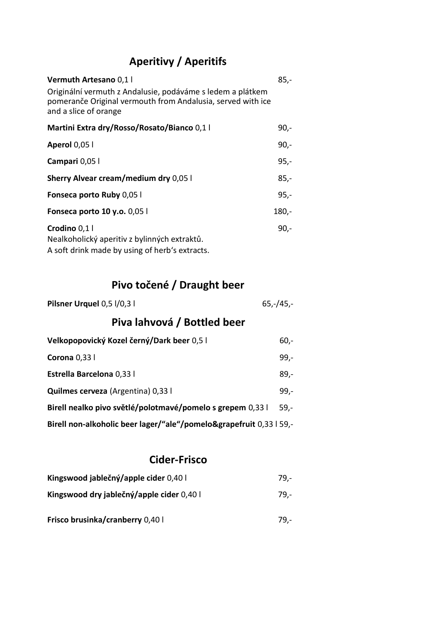## **Aperitivy / Aperitifs**

| Vermuth Artesano 0,1 l<br>Originální vermuth z Andalusie, podáváme s ledem a plátkem<br>pomeranče Original vermouth from Andalusia, served with ice<br>and a slice of orange | $85,-$  |
|------------------------------------------------------------------------------------------------------------------------------------------------------------------------------|---------|
| Martini Extra dry/Rosso/Rosato/Bianco 0,1 l                                                                                                                                  | 90,-    |
| <b>Aperol 0,05 l</b>                                                                                                                                                         | $90 -$  |
| Campari 0,05                                                                                                                                                                 | $95,-$  |
| <b>Sherry Alvear cream/medium dry 0,05 l</b>                                                                                                                                 | $85 -$  |
| Fonseca porto Ruby 0,05 l                                                                                                                                                    | $95 -$  |
| <b>Fonseca porto 10 y.o.</b> 0,05 l                                                                                                                                          | $180,-$ |
| Crodino 0,1 l<br>Nealkoholický aperitiv z bylinných extraktů.<br>A soft drink made by using of herb's extracts.                                                              | $90 -$  |

# **Pivo točené / Draught beer**

| Pilsner Urquel 0,5 l/0,3 l | $65,-/45,-$ |
|----------------------------|-------------|
|----------------------------|-------------|

# **Piva lahvová / Bottled beer**

| Velkopopovický Kozel černý/Dark beer 0,5 l                          | $60 -$ |
|---------------------------------------------------------------------|--------|
| Corona $0,33$ l                                                     | $99 -$ |
| Estrella Barcelona 0,33 l                                           | $89,-$ |
| <b>Quilmes cerveza</b> (Argentina) 0,33 l                           | $99 -$ |
| Birell nealko pivo světlé/polotmavé/pomelo s grepem 0,33 l          | $59 -$ |
| Birell non-alkoholic beer lager/"ale"/pomelo&grapefruit 0,33   59,- |        |

### **Cider-Frisco**

| Kingswood jablečný/apple cider 0,40 l     | 79.- |
|-------------------------------------------|------|
| Kingswood dry jablečný/apple cider 0,40 l | 79.- |

**Frisco brusinka/cranberry** 0,40 l 79,-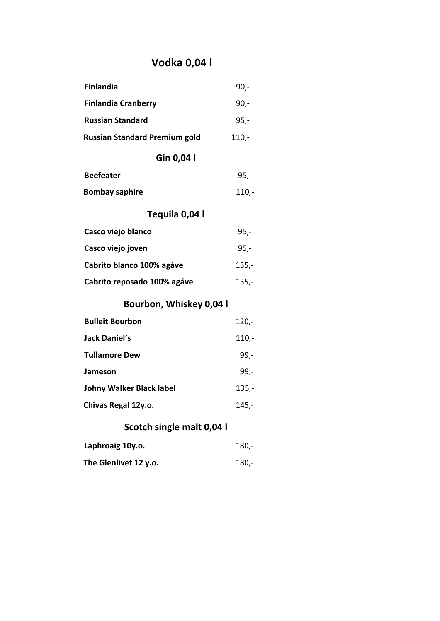# **Vodka 0,04 l**

| <b>Finlandia</b>                     | $90 -$  |
|--------------------------------------|---------|
| <b>Finlandia Cranberry</b>           | $90,-$  |
| <b>Russian Standard</b>              | $95,-$  |
| <b>Russian Standard Premium gold</b> | $110,-$ |
| Gin 0,04 l                           |         |
| <b>Beefeater</b>                     | $95,-$  |
| <b>Bombay saphire</b>                | $110,-$ |
| Tequila 0,04 l                       |         |
| Casco viejo blanco                   | $95,-$  |
| Casco viejo joven                    | $95,-$  |
| Cabrito blanco 100% agáve            | $135,-$ |
| Cabrito reposado 100% agáve          | $135,-$ |
| Bourbon, Whiskey 0,04 l              |         |
| <b>Bulleit Bourbon</b>               | $120 -$ |
| <b>Jack Daniel's</b>                 | $110,-$ |
| <b>Tullamore Dew</b>                 | $99,-$  |
| Jameson                              | $99,-$  |
| <b>Johny Walker Black label</b>      | $135,-$ |
| Chivas Regal 12y.o.                  | $145,-$ |
| Scotch single malt 0,04 l            |         |
| Laphroaig 10y.o.                     | $180,-$ |

**The Glenlivet 12 y.o.** 180,-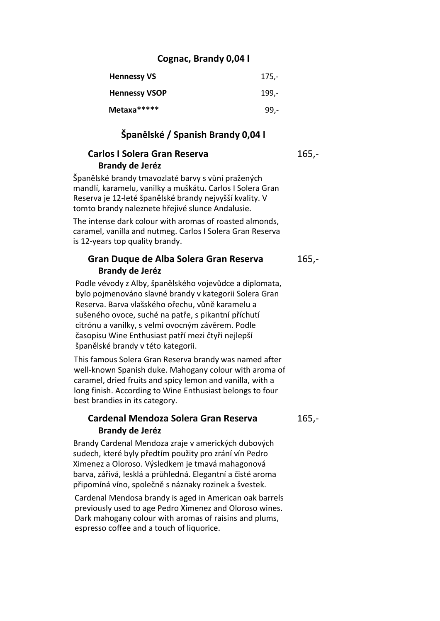#### **Cognac, Brandy 0,04 l**

| <b>Hennessy VS</b>   | $175,-$       |
|----------------------|---------------|
| <b>Hennessy VSOP</b> | <u> 199.-</u> |
| Metaxa*****          | $99 -$        |

#### **Španělské / Spanish Brandy 0,04 l**

#### **Carlos I Solera Gran Reserva** 165,-**Brandy de Jeréz**

Španělské brandy tmavozlaté barvy s vůní pražených mandlí, karamelu, vanilky a muškátu. Carlos I Solera Gran Reserva je 12-leté španělské brandy nejvyšší kvality. V tomto brandy naleznete hřejivé slunce Andalusie.

The intense dark colour with aromas of roasted almonds, caramel, vanilla and nutmeg. Carlos I Solera Gran Reserva is 12-years top quality brandy.

#### **Gran Duque de Alba Solera Gran Reserva** 165,- **Brandy de Jeréz**

Podle vévody z Alby, španělského vojevůdce a diplomata, bylo pojmenováno slavné brandy v kategorii [Solera G](http://www.global-wines.cz/solera)ran Reserva. Barva vlašského ořechu, vůně karamelu a sušeného ovoce, suché na patře, s pikantní příchutí citrónu a vanilky, s velmi ovocným závěrem. Podle časopisu Wine Enthusiast patří mezi čtyři nejlepší španělské brandy v této kategorii.

This famous Solera Gran Reserva brandy was named after well-known Spanish duke. Mahogany colour with aroma of caramel, dried fruits and spicy lemon and vanilla, with a long finish. According to Wine Enthusiast belongs to four best brandies in its category.

#### **Cardenal Mendoza Solera Gran Reserva** 165,- **Brandy de Jeréz**

Brandy Cardenal Mendoza zraje v amerických dubových sudech, které byly předtím použity pro zrání vín Pedro Ximenez a Oloroso. Výsledkem je tmavá mahagonová barva, zářivá, lesklá a průhledná. Elegantní a čisté aroma připomíná víno, společně s náznaky rozinek a švestek.

Cardenal Mendosa brandy is aged in American oak barrels previously used to age Pedro Ximenez and Oloroso wines. Dark mahogany colour with aromas of raisins and plums, espresso coffee and a touch of liquorice.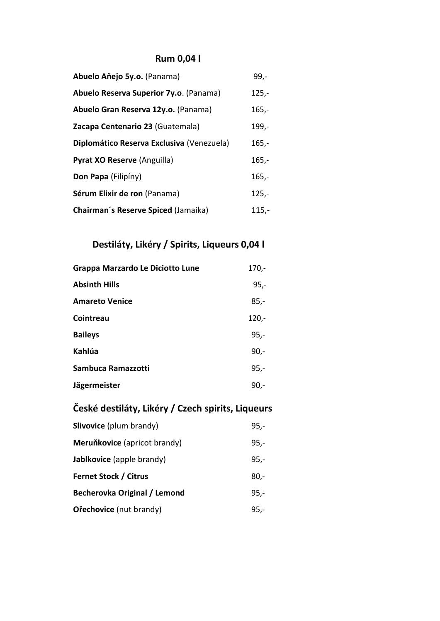### **Rum 0,04 l**

| Abuelo Aňejo 5y.o. (Panama)               | $99 -$  |
|-------------------------------------------|---------|
| Abuelo Reserva Superior 7y.o. (Panama)    | $125 -$ |
| Abuelo Gran Reserva 12y.o. (Panama)       | $165,-$ |
| Zacapa Centenario 23 (Guatemala)          | $199,-$ |
| Diplomático Reserva Exclusiva (Venezuela) | $165,-$ |
| Pyrat XO Reserve (Anguilla)               | $165,-$ |
| Don Papa (Filipíny)                       | $165,-$ |
| Sérum Elixir de ron (Panama)              | $125 -$ |
| Chairman's Reserve Spiced (Jamaika)       | $115,-$ |

### **Destiláty, Likéry / Spirits, Liqueurs 0,04 l**

| Grappa Marzardo Le Diciotto Lune | $170,-$ |
|----------------------------------|---------|
| <b>Absinth Hills</b>             | $95,-$  |
| <b>Amareto Venice</b>            | $85,-$  |
| Cointreau                        | $120 -$ |
| <b>Baileys</b>                   | $95 -$  |
| Kahlúa                           | $90 -$  |
| Sambuca Ramazzotti               | $95,-$  |
| Jägermeister                     | $90 -$  |

# **České destiláty, Likéry / Czech spirits, Liqueurs**

| Slivovice (plum brandy)        | $95 -$ |
|--------------------------------|--------|
| Meruňkovice (apricot brandy)   | $95,-$ |
| Jablkovice (apple brandy)      | $95,-$ |
| <b>Fernet Stock / Citrus</b>   | $80 -$ |
| Becherovka Original / Lemond   | $95 -$ |
| <b>Ořechovice</b> (nut brandy) | 95,-   |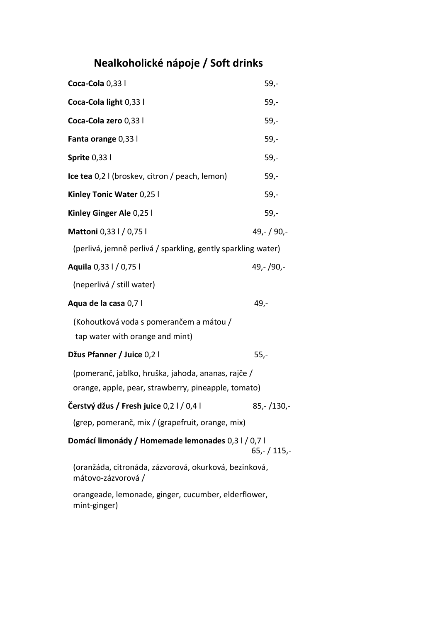# **Nealkoholické nápoje / Soft drinks**

| Coca-Cola 0,33 l                                                                                          | 59,-         |
|-----------------------------------------------------------------------------------------------------------|--------------|
| Coca-Cola light 0,33 l                                                                                    | $59 -$       |
| Coca-Cola zero 0,33 l                                                                                     | $59 -$       |
| Fanta orange 0,33 l                                                                                       | $59,-$       |
| <b>Sprite 0,331</b>                                                                                       | $59 -$       |
| Ice tea 0,2 I (broskev, citron / peach, lemon)                                                            | $59 -$       |
| Kinley Tonic Water 0,25 l                                                                                 | $59 -$       |
| Kinley Ginger Ale 0,25 l                                                                                  | $59 -$       |
| Mattoni 0,33   / 0,75                                                                                     | $49,-/90,-$  |
| (perlivá, jemně perlivá / sparkling, gently sparkling water)                                              |              |
| Aquila 0,33 l / 0,75 l                                                                                    | 49,-/90,-    |
| (neperlivá / still water)                                                                                 |              |
| Aqua de la casa 0,7 l                                                                                     | 49,-         |
| (Kohoutková voda s pomerančem a mátou /<br>tap water with orange and mint)                                |              |
| Džus Pfanner / Juice 0,2 l                                                                                | $55,-$       |
| (pomeranč, jablko, hruška, jahoda, ananas, rajče /<br>orange, apple, pear, strawberry, pineapple, tomato) |              |
| Čerstvý džus / Fresh juice 0,2 l / 0,4 l                                                                  | 85,- /130,-  |
| (grep, pomeranč, mix / (grapefruit, orange, mix)                                                          |              |
| Domácí limonády / Homemade lemonades 0,3 l / 0,7 l                                                        | $65,-/115,-$ |
| (oranžáda, citronáda, zázvorová, okurková, bezinková,<br>mátovo-zázvorová /                               |              |
| orangeade, lemonade, ginger, cucumber, elderflower,<br>mint-ginger)                                       |              |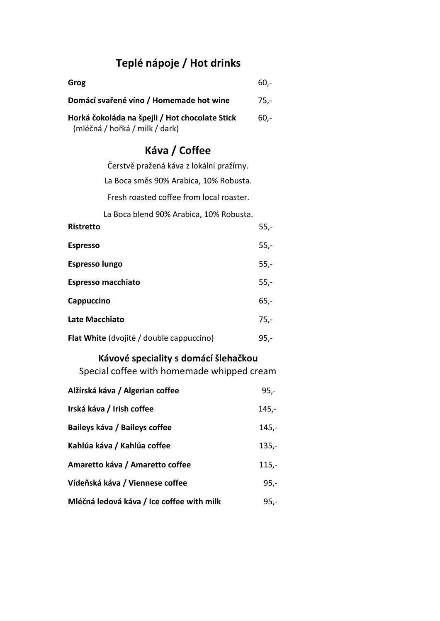# **Teplé nápoje / Hot drinks**

| Grog                                                                             | $60 -$ |
|----------------------------------------------------------------------------------|--------|
| Domácí svařené víno / Homemade hot wine                                          | 75.-   |
| Horká čokoláda na špejli / Hot chocolate Stick<br>(mléčná / hořká / milk / dark) | 60.-   |

### **Káva / Coffee**

| Čerstvě pražená káva z lokální pražírny. |        |
|------------------------------------------|--------|
| La Boca směs 90% Arabica, 10% Robusta.   |        |
| Fresh roasted coffee from local roaster. |        |
| La Boca blend 90% Arabica, 10% Robusta.  |        |
| Ristretto                                | $55,-$ |
| <b>Espresso</b>                          | $55,-$ |
| <b>Espresso lungo</b>                    | $55,-$ |
| <b>Espresso macchiato</b>                | $55,-$ |
| Cappuccino                               | $65,-$ |
| Late Macchiato                           | $75,-$ |
| Flat White (dvojité / double cappuccino) | $95 -$ |

### **Kávové speciality s domácí šlehačkou**

Special coffee with homemade whipped cream

| Alžírská káva / Algerian coffee           | $95,-$  |
|-------------------------------------------|---------|
| Irská káva / Irish coffee                 | 145,-   |
| Baileys káva / Baileys coffee             | $145,-$ |
| Kahlúa káva / Kahlúa coffee               | $135,-$ |
| Amaretto káva / Amaretto coffee           | $115,-$ |
| Vídeňská káva / Viennese coffee           | $95,-$  |
| Mléčná ledová káva / Ice coffee with milk | $95 -$  |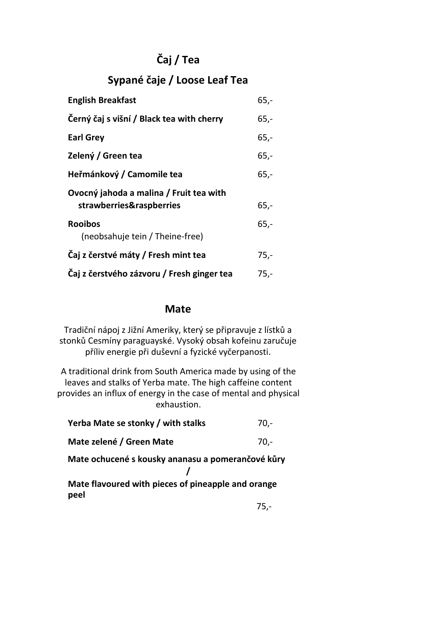# **Čaj / Tea**

## **Sypané čaje / Loose Leaf Tea**

| <b>English Breakfast</b>                   | $65 -$ |
|--------------------------------------------|--------|
| Černý čaj s višní / Black tea with cherry  | $65,-$ |
| <b>Earl Grey</b>                           | $65,-$ |
| Zelený / Green tea                         | $65 -$ |
| Heřmánkový / Camomile tea                  | $65 -$ |
| Ovocný jahoda a malina / Fruit tea with    |        |
| strawberries&raspberries                   | $65,-$ |
| <b>Rooibos</b>                             | $65 -$ |
| (neobsahuje tein / Theine-free)            |        |
| Čaj z čerstvé máty / Fresh mint tea        | $75,-$ |
| Čaj z čerstvého zázvoru / Fresh ginger tea | $75 -$ |

#### **Mate**

Tradiční nápoj z Jižní Ameriky, který se připravuje z lístků a stonků Cesmíny paraguayské. Vysoký obsah kofeinu zaručuje příliv energie při duševní a fyzické vyčerpanosti.

A traditional drink from South America made by using of the leaves and stalks of Yerba mate. The high caffeine content provides an influx of energy in the case of mental and physical exhaustion.

| Yerba Mate se stonky / with stalks                         | $70 -$ |
|------------------------------------------------------------|--------|
| Mate zelené / Green Mate                                   | 70,-   |
| Mate ochucené s kousky ananasu a pomerančové kůry          |        |
| Mate flavoured with pieces of pineapple and orange<br>peel |        |

75,-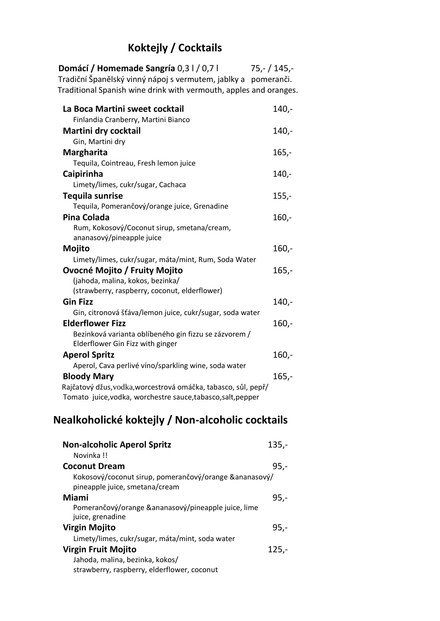# **Koktejly / Cocktails**

| Domácí / Homemade Sangría 0,3 l / 0,7 l<br>Tradiční Španělský vinný nápoj s vermutem, jablky a pomeranči.<br>Traditional Spanish wine drink with vermouth, apples and oranges. | $75,-/145,-$ |
|--------------------------------------------------------------------------------------------------------------------------------------------------------------------------------|--------------|
| La Boca Martini sweet cocktail                                                                                                                                                 | $140 -$      |
| Finlandia Cranberry, Martini Bianco                                                                                                                                            |              |
| Martini dry cocktail                                                                                                                                                           | $140 -$      |
| Gin, Martini dry                                                                                                                                                               |              |
| <b>Margharita</b>                                                                                                                                                              | $165,-$      |
| Tequila, Cointreau, Fresh lemon juice                                                                                                                                          |              |
| Caipirinha                                                                                                                                                                     | $140,-$      |
| Limety/limes, cukr/sugar, Cachaca                                                                                                                                              |              |
| <b>Tequila sunrise</b><br>Tequila, Pomerančový/orange juice, Grenadine                                                                                                         | $155,-$      |
| <b>Pina Colada</b>                                                                                                                                                             | $160 -$      |
| Rum, Kokosový/Coconut sirup, smetana/cream,                                                                                                                                    |              |
| ananasový/pineapple juice                                                                                                                                                      |              |
| Mojito                                                                                                                                                                         | $160 -$      |
| Limety/limes, cukr/sugar, máta/mint, Rum, Soda Water                                                                                                                           |              |
| Ovocné Mojito / Fruity Mojito                                                                                                                                                  | $165 -$      |
| (jahoda, malina, kokos, bezinka/                                                                                                                                               |              |
| (strawberry, raspberry, coconut, elderflower)                                                                                                                                  |              |
| <b>Gin Fizz</b>                                                                                                                                                                | $140 -$      |
| Gin, citronová šťáva/lemon juice, cukr/sugar, soda water                                                                                                                       |              |
| <b>Elderflower Fizz</b>                                                                                                                                                        | $160,-$      |
| Bezinková varianta oblíbeného gin fizzu se zázvorem /                                                                                                                          |              |
| Elderflower Gin Fizz with ginger                                                                                                                                               |              |
| <b>Aperol Spritz</b>                                                                                                                                                           | $160 -$      |
| Aperol, Cava perlivé víno/sparkling wine, soda water                                                                                                                           |              |
| <b>Bloody Mary</b>                                                                                                                                                             | $165,-$      |
| Rajčatový džus, vodka, worcestrová omáčka, tabasco, sůl, pepř/<br>Tomato juice, vodka, worchestre sauce, tabasco, salt, pepper                                                 |              |
|                                                                                                                                                                                |              |

# **Nealkoholické koktejly / Non-alcoholic cocktails**

| <b>Non-alcoholic Aperol Spritz</b>                                                        | $135,-$ |
|-------------------------------------------------------------------------------------------|---------|
| Novinka !!                                                                                |         |
| <b>Coconut Dream</b>                                                                      | $95,-$  |
| Kokosový/coconut sirup, pomerančový/orange & ananasový/<br>pineapple juice, smetana/cream |         |
| <b>Miami</b>                                                                              | $95 -$  |
| Pomerančový/orange &ananasový/pineapple juice, lime<br>juice, grenadine                   |         |
| <b>Virgin Mojito</b>                                                                      | $95 -$  |
| Limety/limes, cukr/sugar, máta/mint, soda water                                           |         |
| <b>Virgin Fruit Mojito</b>                                                                | $125 -$ |
| Jahoda, malina, bezinka, kokos/                                                           |         |
| strawberry, raspberry, elderflower, coconut                                               |         |